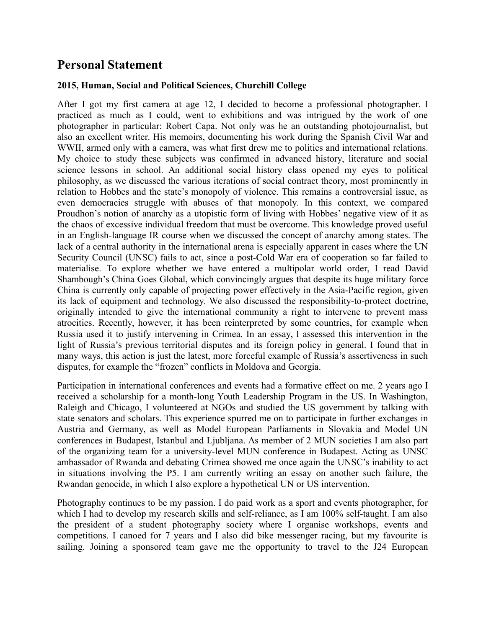## **Personal Statement**

## **2015, Human, Social and Political Sciences, Churchill College**

After I got my first camera at age 12, I decided to become a professional photographer. I practiced as much as I could, went to exhibitions and was intrigued by the work of one photographer in particular: Robert Capa. Not only was he an outstanding photojournalist, but also an excellent writer. His memoirs, documenting his work during the Spanish Civil War and WWII, armed only with a camera, was what first drew me to politics and international relations. My choice to study these subjects was confirmed in advanced history, literature and social science lessons in school. An additional social history class opened my eyes to political philosophy, as we discussed the various iterations of social contract theory, most prominently in relation to Hobbes and the state's monopoly of violence. This remains a controversial issue, as even democracies struggle with abuses of that monopoly. In this context, we compared Proudhon's notion of anarchy as a utopistic form of living with Hobbes' negative view of it as the chaos of excessive individual freedom that must be overcome. This knowledge proved useful in an English-language IR course when we discussed the concept of anarchy among states. The lack of a central authority in the international arena is especially apparent in cases where the UN Security Council (UNSC) fails to act, since a post-Cold War era of cooperation so far failed to materialise. To explore whether we have entered a multipolar world order, I read David Shambough's China Goes Global, which convincingly argues that despite its huge military force China is currently only capable of projecting power effectively in the Asia-Pacific region, given its lack of equipment and technology. We also discussed the responsibility-to-protect doctrine, originally intended to give the international community a right to intervene to prevent mass atrocities. Recently, however, it has been reinterpreted by some countries, for example when Russia used it to justify intervening in Crimea. In an essay, I assessed this intervention in the light of Russia's previous territorial disputes and its foreign policy in general. I found that in many ways, this action is just the latest, more forceful example of Russia's assertiveness in such disputes, for example the "frozen" conflicts in Moldova and Georgia.

Participation in international conferences and events had a formative effect on me. 2 years ago I received a scholarship for a month-long Youth Leadership Program in the US. In Washington, Raleigh and Chicago, I volunteered at NGOs and studied the US government by talking with state senators and scholars. This experience spurred me on to participate in further exchanges in Austria and Germany, as well as Model European Parliaments in Slovakia and Model UN conferences in Budapest, Istanbul and Ljubljana. As member of 2 MUN societies I am also part of the organizing team for a university-level MUN conference in Budapest. Acting as UNSC ambassador of Rwanda and debating Crimea showed me once again the UNSC's inability to act in situations involving the P5. I am currently writing an essay on another such failure, the Rwandan genocide, in which I also explore a hypothetical UN or US intervention.

Photography continues to be my passion. I do paid work as a sport and events photographer, for which I had to develop my research skills and self-reliance, as I am 100% self-taught. I am also the president of a student photography society where I organise workshops, events and competitions. I canoed for 7 years and I also did bike messenger racing, but my favourite is sailing. Joining a sponsored team gave me the opportunity to travel to the J24 European